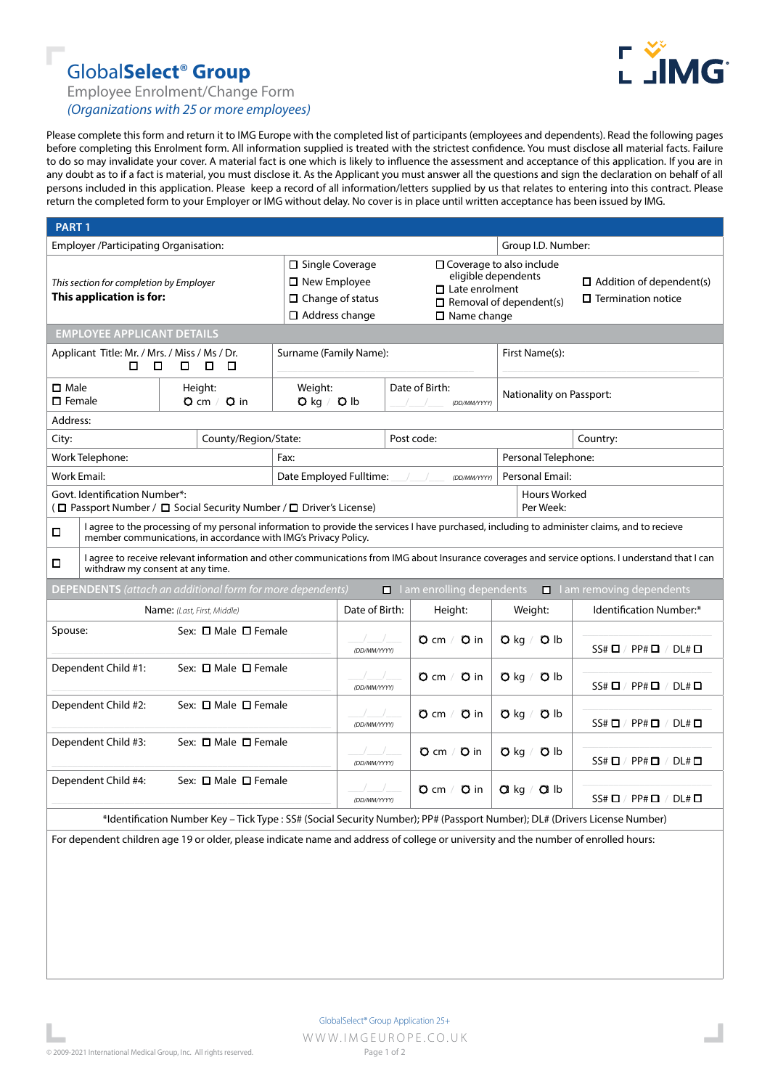## Global**Select**® **Group**



Employee Enrolment/Change Form

*(Organizations with 25 or more employees)*

Please complete this form and return it to IMG Europe with the completed list of participants (employees and dependents). Read the following pages before completing this Enrolment form. All information supplied is treated with the strictest confidence. You must disclose all material facts. Failure to do so may invalidate your cover. A material fact is one which is likely to influence the assessment and acceptance of this application. If you are in any doubt as to if a fact is material, you must disclose it. As the Applicant you must answer all the questions and sign the declaration on behalf of all persons included in this application. Please keep a record of all information/letters supplied by us that relates to entering into this contract. Please return the completed form to your Employer or IMG without delay. No cover is in place until written acceptance has been issued by IMG.

| <b>PART1</b>                                                                                                                                                                              |                                                                                                                                                                                                                  |                                      |                                          |                            |                                                                                                                                                                                                                                            |                                |                               |                |                                                              |                                        |
|-------------------------------------------------------------------------------------------------------------------------------------------------------------------------------------------|------------------------------------------------------------------------------------------------------------------------------------------------------------------------------------------------------------------|--------------------------------------|------------------------------------------|----------------------------|--------------------------------------------------------------------------------------------------------------------------------------------------------------------------------------------------------------------------------------------|--------------------------------|-------------------------------|----------------|--------------------------------------------------------------|----------------------------------------|
| Employer /Participating Organisation:                                                                                                                                                     |                                                                                                                                                                                                                  |                                      |                                          |                            |                                                                                                                                                                                                                                            | Group I.D. Number:             |                               |                |                                                              |                                        |
| This section for completion by Employer<br>This application is for:                                                                                                                       |                                                                                                                                                                                                                  |                                      |                                          |                            | □ Coverage to also include<br>$\Box$ Single Coverage<br>eligible dependents<br>$\Box$ New Employee<br>$\Box$ Late enrolment<br>$\Box$ Change of status<br>$\Box$ Removal of dependent(s)<br>$\Box$ Address change<br>$\square$ Name change |                                |                               |                | $\Box$ Addition of dependent(s)<br>$\Box$ Termination notice |                                        |
| <b>EMPLOYEE APPLICANT DETAILS</b>                                                                                                                                                         |                                                                                                                                                                                                                  |                                      |                                          |                            |                                                                                                                                                                                                                                            |                                |                               |                |                                                              |                                        |
| Applicant Title: Mr. / Mrs. / Miss / Ms / Dr.<br>□<br>П.<br>$\Box$<br>□<br>□                                                                                                              |                                                                                                                                                                                                                  |                                      |                                          | Surname (Family Name):     |                                                                                                                                                                                                                                            |                                |                               | First Name(s): |                                                              |                                        |
| $\square$ Male<br>$\square$ Female                                                                                                                                                        |                                                                                                                                                                                                                  |                                      | Height:<br>$Q \text{ cm} / Q \text{ in}$ | Weight:<br>$O$ kg / $O$ lb |                                                                                                                                                                                                                                            | Date of Birth:<br>(DD/MM/YYYY) |                               |                | Nationality on Passport:                                     |                                        |
| Address:                                                                                                                                                                                  |                                                                                                                                                                                                                  |                                      |                                          |                            |                                                                                                                                                                                                                                            |                                |                               |                |                                                              |                                        |
| County/Region/State:<br>City:                                                                                                                                                             |                                                                                                                                                                                                                  |                                      | Post code:                               |                            |                                                                                                                                                                                                                                            |                                |                               |                | Country:                                                     |                                        |
| Work Telephone:                                                                                                                                                                           |                                                                                                                                                                                                                  |                                      |                                          | Fax:                       |                                                                                                                                                                                                                                            |                                |                               |                | Personal Telephone:                                          |                                        |
| Work Email:                                                                                                                                                                               |                                                                                                                                                                                                                  |                                      |                                          |                            | Date Employed Fulltime:<br>(DD/MM/YYYY)                                                                                                                                                                                                    |                                |                               |                | Personal Email:                                              |                                        |
| Govt. Identification Number*:<br>(□ Passport Number / □ Social Security Number / □ Driver's License)                                                                                      |                                                                                                                                                                                                                  |                                      |                                          |                            |                                                                                                                                                                                                                                            |                                |                               |                | Hours Worked<br>Per Week:                                    |                                        |
| □                                                                                                                                                                                         | I agree to the processing of my personal information to provide the services I have purchased, including to administer claims, and to recieve<br>member communications, in accordance with IMG's Privacy Policy. |                                      |                                          |                            |                                                                                                                                                                                                                                            |                                |                               |                |                                                              |                                        |
| I agree to receive relevant information and other communications from IMG about Insurance coverages and service options. I understand that I can<br>□<br>withdraw my consent at any time. |                                                                                                                                                                                                                  |                                      |                                          |                            |                                                                                                                                                                                                                                            |                                |                               |                |                                                              |                                        |
| <b>DEPENDENTS</b> (attach an additional form for more dependents)<br>lam enrolling dependents<br>I am removing dependents<br>□                                                            |                                                                                                                                                                                                                  |                                      |                                          |                            |                                                                                                                                                                                                                                            |                                |                               |                |                                                              |                                        |
| Name: (Last, First, Middle)                                                                                                                                                               |                                                                                                                                                                                                                  |                                      |                                          | Date of Birth:             |                                                                                                                                                                                                                                            | Height:                        |                               | Weight:        | Identification Number:*                                      |                                        |
| Spouse:                                                                                                                                                                                   |                                                                                                                                                                                                                  | Sex: <b>O</b> Male <b>O</b> Female   |                                          |                            | (DD/MM/YYYY)                                                                                                                                                                                                                               |                                | $Q \text{ cm} / Q \text{ in}$ |                | $\mathbf{O}$ kg $/$<br>Q <sub>lb</sub>                       | $SS# \Box / PP# \Box / DL# \Box$       |
| Dependent Child #1:                                                                                                                                                                       |                                                                                                                                                                                                                  | Sex: $\square$ Male $\square$ Female |                                          |                            | (DD/MM/YYYY)                                                                                                                                                                                                                               |                                | $Q$ in<br>$Q \,$ cm $/$       |                | O <sub>1b</sub><br>$O$ kg $/$                                | $SS#$ $\Box$ / PP# $\Box$ / DL# $\Box$ |
| Dependent Child #2:                                                                                                                                                                       |                                                                                                                                                                                                                  | Sex: □ Male □ Female                 |                                          |                            | (DD/MM/YYYY)                                                                                                                                                                                                                               |                                | $Q \text{ cm} / Q \text{ in}$ |                | $Q$ kg $/$<br>O <sub>1b</sub>                                | $SS# \Box / PP# \Box / DL# \Box$       |
| Dependent Child #3:                                                                                                                                                                       |                                                                                                                                                                                                                  | Sex: $\Box$ Male $\Box$ Female       |                                          |                            | (DD/MM/YYYY)                                                                                                                                                                                                                               |                                | $Q \text{ cm} / Q \text{ in}$ |                | $Q$ kg $/$<br>O <sub>1b</sub>                                | $SS# \Box / PP# \Box / DL# \Box$       |
| Dependent Child #4:                                                                                                                                                                       |                                                                                                                                                                                                                  | Sex: $\Box$ Male $\Box$ Female       |                                          |                            | (DD/MM/YYYY)                                                                                                                                                                                                                               |                                | $O$ cm / $O$ in               |                | $Q$ kg $/$<br>Q <sub>1b</sub>                                | $SS# \Box / PP# \Box / DL# \Box$       |
| *Identification Number Key - Tick Type : SS# (Social Security Number); PP# (Passport Number); DL# (Drivers License Number)                                                                |                                                                                                                                                                                                                  |                                      |                                          |                            |                                                                                                                                                                                                                                            |                                |                               |                |                                                              |                                        |

For dependent children age 19 or older, please indicate name and address of college or university and the number of enrolled hours: